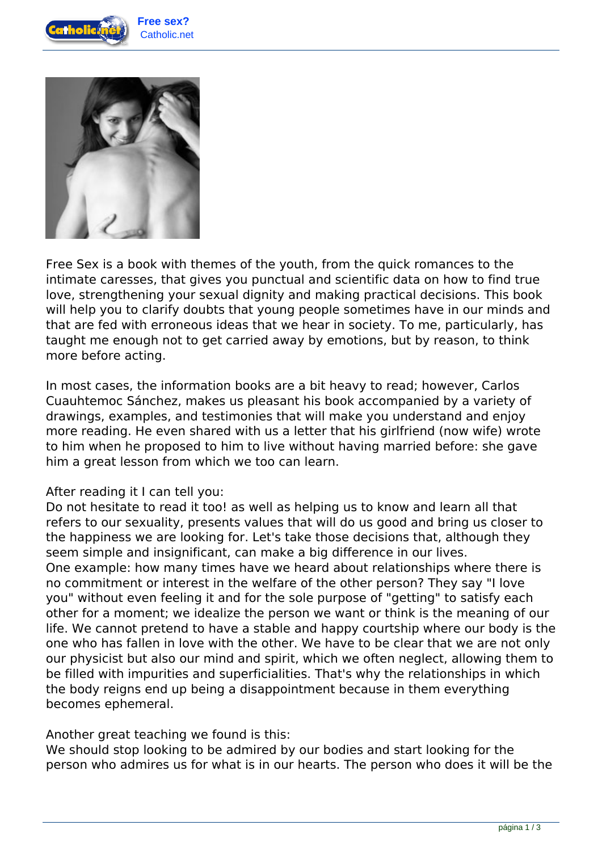



Free Sex is a book with themes of the youth, from the quick romances to the intimate caresses, that gives you punctual and scientific data on how to find true love, strengthening your sexual dignity and making practical decisions. This book will help you to clarify doubts that young people sometimes have in our minds and that are fed with erroneous ideas that we hear in society. To me, particularly, has taught me enough not to get carried away by emotions, but by reason, to think more before acting.

In most cases, the information books are a bit heavy to read; however, Carlos Cuauhtemoc Sánchez, makes us pleasant his book accompanied by a variety of drawings, examples, and testimonies that will make you understand and enjoy more reading. He even shared with us a letter that his girlfriend (now wife) wrote to him when he proposed to him to live without having married before: she gave him a great lesson from which we too can learn.

## After reading it I can tell you:

Do not hesitate to read it too! as well as helping us to know and learn all that refers to our sexuality, presents values that will do us good and bring us closer to the happiness we are looking for. Let's take those decisions that, although they seem simple and insignificant, can make a big difference in our lives. One example: how many times have we heard about relationships where there is no commitment or interest in the welfare of the other person? They say "I love you" without even feeling it and for the sole purpose of "getting" to satisfy each other for a moment; we idealize the person we want or think is the meaning of our life. We cannot pretend to have a stable and happy courtship where our body is the one who has fallen in love with the other. We have to be clear that we are not only our physicist but also our mind and spirit, which we often neglect, allowing them to be filled with impurities and superficialities. That's why the relationships in which the body reigns end up being a disappointment because in them everything becomes ephemeral.

Another great teaching we found is this:

We should stop looking to be admired by our bodies and start looking for the person who admires us for what is in our hearts. The person who does it will be the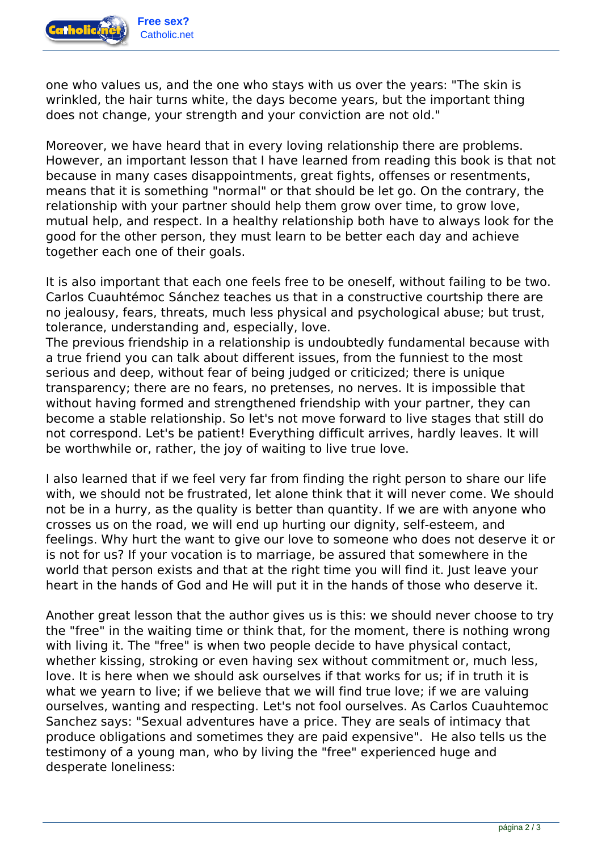

one who values us, and the one who stays with us over the years: "The skin is wrinkled, the hair turns white, the days become years, but the important thing does not change, your strength and your conviction are not old."

Moreover, we have heard that in every loving relationship there are problems. However, an important lesson that I have learned from reading this book is that not because in many cases disappointments, great fights, offenses or resentments, means that it is something "normal" or that should be let go. On the contrary, the relationship with your partner should help them grow over time, to grow love, mutual help, and respect. In a healthy relationship both have to always look for the good for the other person, they must learn to be better each day and achieve together each one of their goals.

It is also important that each one feels free to be oneself, without failing to be two. Carlos Cuauhtémoc Sánchez teaches us that in a constructive courtship there are no jealousy, fears, threats, much less physical and psychological abuse; but trust, tolerance, understanding and, especially, love.

The previous friendship in a relationship is undoubtedly fundamental because with a true friend you can talk about different issues, from the funniest to the most serious and deep, without fear of being judged or criticized; there is unique transparency; there are no fears, no pretenses, no nerves. It is impossible that without having formed and strengthened friendship with your partner, they can become a stable relationship. So let's not move forward to live stages that still do not correspond. Let's be patient! Everything difficult arrives, hardly leaves. It will be worthwhile or, rather, the joy of waiting to live true love.

I also learned that if we feel very far from finding the right person to share our life with, we should not be frustrated, let alone think that it will never come. We should not be in a hurry, as the quality is better than quantity. If we are with anyone who crosses us on the road, we will end up hurting our dignity, self-esteem, and feelings. Why hurt the want to give our love to someone who does not deserve it or is not for us? If your vocation is to marriage, be assured that somewhere in the world that person exists and that at the right time you will find it. Just leave your heart in the hands of God and He will put it in the hands of those who deserve it.

Another great lesson that the author gives us is this: we should never choose to try the "free" in the waiting time or think that, for the moment, there is nothing wrong with living it. The "free" is when two people decide to have physical contact, whether kissing, stroking or even having sex without commitment or, much less, love. It is here when we should ask ourselves if that works for us; if in truth it is what we yearn to live; if we believe that we will find true love; if we are valuing ourselves, wanting and respecting. Let's not fool ourselves. As Carlos Cuauhtemoc Sanchez says: "Sexual adventures have a price. They are seals of intimacy that produce obligations and sometimes they are paid expensive". He also tells us the testimony of a young man, who by living the "free" experienced huge and desperate loneliness: